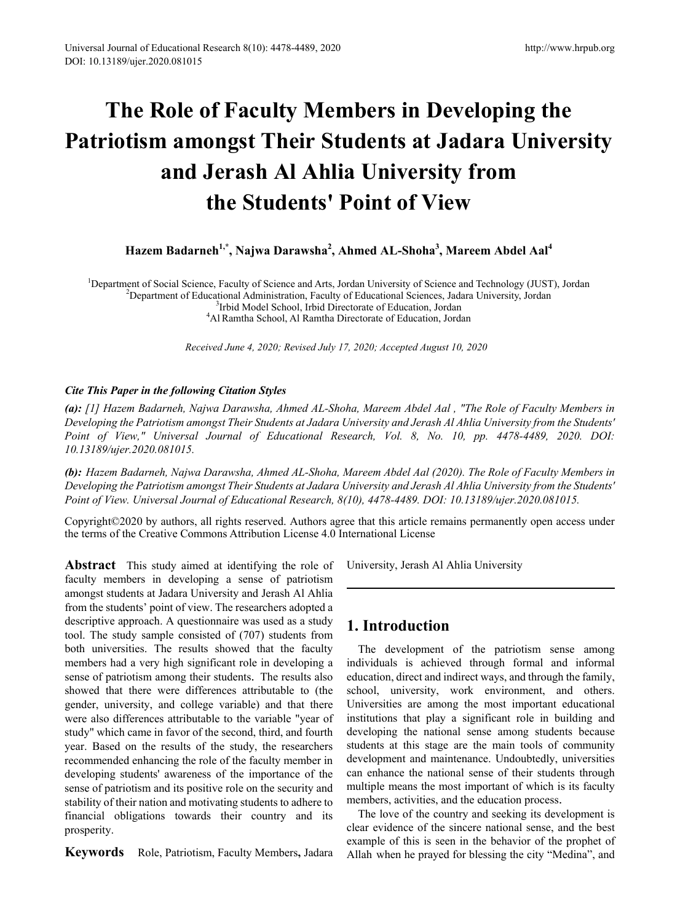# **The Role of Faculty Members in Developing the Patriotism amongst Their Students at Jadara University and Jerash Al Ahlia University from the Students' Point of View**

**Hazem Badarneh1,\*, Najwa Darawsha<sup>2</sup> , Ahmed AL-Shoha<sup>3</sup> , Mareem Abdel Aal<sup>4</sup>**

<sup>1</sup>Department of Social Science, Faculty of Science and Arts, Jordan University of Science and Technology (JUST), Jordan <sup>2</sup>Department of Educational Administration, Esculty of Educational Sciences, Jadara University, Jord  ${}^{2}$ Department of Educational Administration, Faculty of Educational Sciences, Jadara University, Jordan  ${}^{3}$ Irbid Model School, Irbid Directorate of Education, Jordan <sup>3</sup>Irbid Model School, Irbid Directorate of Education, Jordan<sup>4</sup>Al Ramtha School, Al Ramtha Directorate of Education, Jordan

*Received June 4, 2020; Revised July 17, 2020; Accepted August 10, 2020*

### *Cite This Paper in the following Citation Styles*

*(a): [1] Hazem Badarneh, Najwa Darawsha, Ahmed AL-Shoha, Mareem Abdel Aal , "The Role of Faculty Members in Developing the Patriotism amongst Their Students at Jadara University and Jerash Al Ahlia University from the Students' Point of View," Universal Journal of Educational Research, Vol. 8, No. 10, pp. 4478-4489, 2020. DOI: 10.13189/ujer.2020.081015.* 

*(b): Hazem Badarneh, Najwa Darawsha, Ahmed AL-Shoha, Mareem Abdel Aal (2020). The Role of Faculty Members in Developing the Patriotism amongst Their Students at Jadara University and Jerash Al Ahlia University from the Students' Point of View. Universal Journal of Educational Research, 8(10), 4478-4489. DOI: 10.13189/ujer.2020.081015.* 

Copyright©2020 by authors, all rights reserved. Authors agree that this article remains permanently open access under the terms of the Creative Commons Attribution License 4.0 International License

**Abstract** This study aimed at identifying the role of faculty members in developing a sense of patriotism amongst students at Jadara University and Jerash Al Ahlia from the students' point of view. The researchers adopted a descriptive approach. A questionnaire was used as a study tool. The study sample consisted of (707) students from both universities. The results showed that the faculty members had a very high significant role in developing a sense of patriotism among their students. The results also showed that there were differences attributable to (the gender, university, and college variable) and that there were also differences attributable to the variable "year of study" which came in favor of the second, third, and fourth year. Based on the results of the study, the researchers recommended enhancing the role of the faculty member in developing students' awareness of the importance of the sense of patriotism and its positive role on the security and stability of their nation and motivating students to adhere to financial obligations towards their country and its prosperity.

**Keywords** Role, Patriotism, Faculty Members**,** Jadara

University, Jerash Al Ahlia University

# **1. Introduction**

The development of the patriotism sense among individuals is achieved through formal and informal education, direct and indirect ways, and through the family, school, university, work environment, and others. Universities are among the most important educational institutions that play a significant role in building and developing the national sense among students because students at this stage are the main tools of community development and maintenance. Undoubtedly, universities can enhance the national sense of their students through multiple means the most important of which is its faculty members, activities, and the education process.

The love of the country and seeking its development is clear evidence of the sincere national sense, and the best example of this is seen in the behavior of the prophet of Allah when he prayed for blessing the city "Medina", and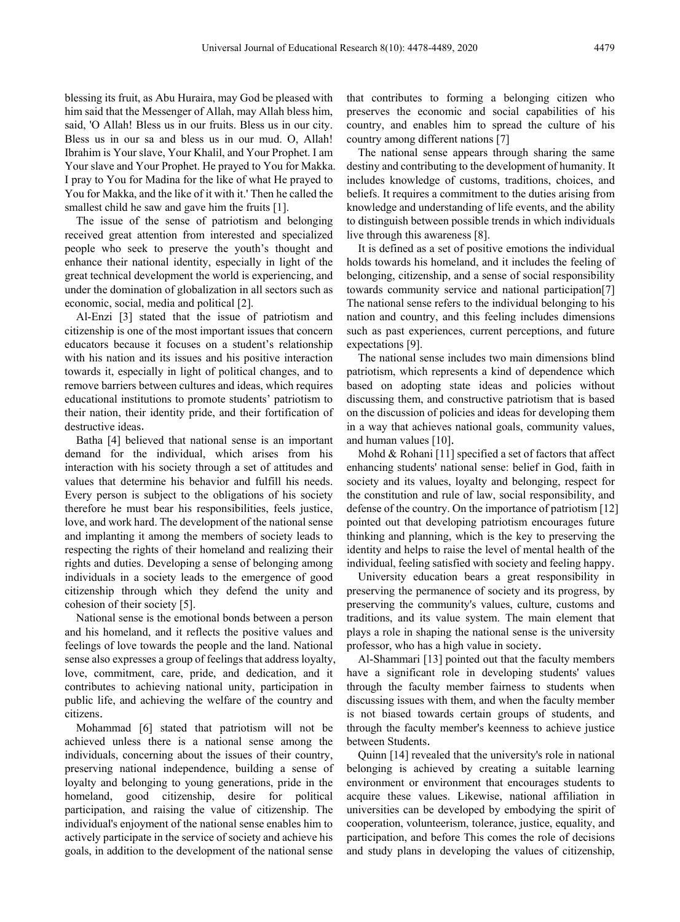blessing its fruit, as Abu Huraira, may God be pleased with him said that the Messenger of Allah, may Allah bless him, said, 'O Allah! Bless us in our fruits. Bless us in our city. Bless us in our sa and bless us in our mud. O, Allah! Ibrahim is Your slave, Your Khalil, and Your Prophet. I am Your slave and Your Prophet. He prayed to You for Makka. I pray to You for Madina for the like of what He prayed to You for Makka, and the like of it with it.' Then he called the smallest child he saw and gave him the fruits [1].

The issue of the sense of patriotism and belonging received great attention from interested and specialized people who seek to preserve the youth's thought and enhance their national identity, especially in light of the great technical development the world is experiencing, and under the domination of globalization in all sectors such as economic, social, media and political [2].

Al-Enzi [3] stated that the issue of patriotism and citizenship is one of the most important issues that concern educators because it focuses on a student's relationship with his nation and its issues and his positive interaction towards it, especially in light of political changes, and to remove barriers between cultures and ideas, which requires educational institutions to promote students' patriotism to their nation, their identity pride, and their fortification of destructive ideas.

Batha [4] believed that national sense is an important demand for the individual, which arises from his interaction with his society through a set of attitudes and values that determine his behavior and fulfill his needs. Every person is subject to the obligations of his society therefore he must bear his responsibilities, feels justice, love, and work hard. The development of the national sense and implanting it among the members of society leads to respecting the rights of their homeland and realizing their rights and duties. Developing a sense of belonging among individuals in a society leads to the emergence of good citizenship through which they defend the unity and cohesion of their society [5].

National sense is the emotional bonds between a person and his homeland, and it reflects the positive values and feelings of love towards the people and the land. National sense also expresses a group of feelings that address loyalty, love, commitment, care, pride, and dedication, and it contributes to achieving national unity, participation in public life, and achieving the welfare of the country and citizens.

Mohammad [6] stated that patriotism will not be achieved unless there is a national sense among the individuals, concerning about the issues of their country, preserving national independence, building a sense of loyalty and belonging to young generations, pride in the homeland, good citizenship, desire for political participation, and raising the value of citizenship. The individual's enjoyment of the national sense enables him to actively participate in the service of society and achieve his goals, in addition to the development of the national sense

that contributes to forming a belonging citizen who preserves the economic and social capabilities of his country, and enables him to spread the culture of his country among different nations [7]

The national sense appears through sharing the same destiny and contributing to the development of humanity. It includes knowledge of customs, traditions, choices, and beliefs. It requires a commitment to the duties arising from knowledge and understanding of life events, and the ability to distinguish between possible trends in which individuals live through this awareness [8].

It is defined as a set of positive emotions the individual holds towards his homeland, and it includes the feeling of belonging, citizenship, and a sense of social responsibility towards community service and national participation[7] The national sense refers to the individual belonging to his nation and country, and this feeling includes dimensions such as past experiences, current perceptions, and future expectations [9].

The national sense includes two main dimensions blind patriotism, which represents a kind of dependence which based on adopting state ideas and policies without discussing them, and constructive patriotism that is based on the discussion of policies and ideas for developing them in a way that achieves national goals, community values, and human values [10].

Mohd & Rohani [11] specified a set of factors that affect enhancing students' national sense: belief in God, faith in society and its values, loyalty and belonging, respect for the constitution and rule of law, social responsibility, and defense of the country. On the importance of patriotism [12] pointed out that developing patriotism encourages future thinking and planning, which is the key to preserving the identity and helps to raise the level of mental health of the individual, feeling satisfied with society and feeling happy.

University education bears a great responsibility in preserving the permanence of society and its progress, by preserving the community's values, culture, customs and traditions, and its value system. The main element that plays a role in shaping the national sense is the university professor, who has a high value in society.

Al-Shammari [13] pointed out that the faculty members have a significant role in developing students' values through the faculty member fairness to students when discussing issues with them, and when the faculty member is not biased towards certain groups of students, and through the faculty member's keenness to achieve justice between Students.

Quinn [14] revealed that the university's role in national belonging is achieved by creating a suitable learning environment or environment that encourages students to acquire these values. Likewise, national affiliation in universities can be developed by embodying the spirit of cooperation, volunteerism, tolerance, justice, equality, and participation, and before This comes the role of decisions and study plans in developing the values of citizenship,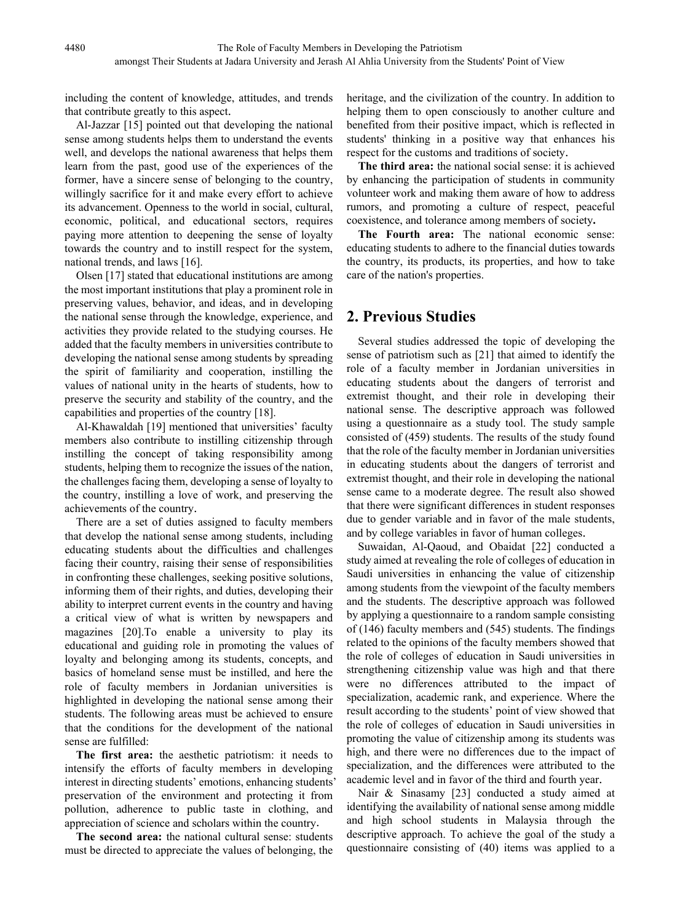including the content of knowledge, attitudes, and trends that contribute greatly to this aspect.

Al-Jazzar [15] pointed out that developing the national sense among students helps them to understand the events well, and develops the national awareness that helps them learn from the past, good use of the experiences of the former, have a sincere sense of belonging to the country, willingly sacrifice for it and make every effort to achieve its advancement. Openness to the world in social, cultural, economic, political, and educational sectors, requires paying more attention to deepening the sense of loyalty towards the country and to instill respect for the system, national trends, and laws [16].

Olsen [17] stated that educational institutions are among the most important institutions that play a prominent role in preserving values, behavior, and ideas, and in developing the national sense through the knowledge, experience, and activities they provide related to the studying courses. He added that the faculty members in universities contribute to developing the national sense among students by spreading the spirit of familiarity and cooperation, instilling the values of national unity in the hearts of students, how to preserve the security and stability of the country, and the capabilities and properties of the country [18].

Al-Khawaldah [19] mentioned that universities' faculty members also contribute to instilling citizenship through instilling the concept of taking responsibility among students, helping them to recognize the issues of the nation, the challenges facing them, developing a sense of loyalty to the country, instilling a love of work, and preserving the achievements of the country.

There are a set of duties assigned to faculty members that develop the national sense among students, including educating students about the difficulties and challenges facing their country, raising their sense of responsibilities in confronting these challenges, seeking positive solutions, informing them of their rights, and duties, developing their ability to interpret current events in the country and having a critical view of what is written by newspapers and magazines [20].To enable a university to play its educational and guiding role in promoting the values of loyalty and belonging among its students, concepts, and basics of homeland sense must be instilled, and here the role of faculty members in Jordanian universities is highlighted in developing the national sense among their students. The following areas must be achieved to ensure that the conditions for the development of the national sense are fulfilled:

**The first area:** the aesthetic patriotism: it needs to intensify the efforts of faculty members in developing interest in directing students' emotions, enhancing students' preservation of the environment and protecting it from pollution, adherence to public taste in clothing, and appreciation of science and scholars within the country.

**The second area:** the national cultural sense: students must be directed to appreciate the values of belonging, the heritage, and the civilization of the country. In addition to helping them to open consciously to another culture and benefited from their positive impact, which is reflected in students' thinking in a positive way that enhances his respect for the customs and traditions of society.

**The third area:** the national social sense: it is achieved by enhancing the participation of students in community volunteer work and making them aware of how to address rumors, and promoting a culture of respect, peaceful coexistence, and tolerance among members of society**.**

**The Fourth area:** The national economic sense: educating students to adhere to the financial duties towards the country, its products, its properties, and how to take care of the nation's properties.

# **2. Previous Studies**

Several studies addressed the topic of developing the sense of patriotism such as [21] that aimed to identify the role of a faculty member in Jordanian universities in educating students about the dangers of terrorist and extremist thought, and their role in developing their national sense. The descriptive approach was followed using a questionnaire as a study tool. The study sample consisted of (459) students. The results of the study found that the role of the faculty member in Jordanian universities in educating students about the dangers of terrorist and extremist thought, and their role in developing the national sense came to a moderate degree. The result also showed that there were significant differences in student responses due to gender variable and in favor of the male students, and by college variables in favor of human colleges.

Suwaidan, Al-Qaoud, and Obaidat [22] conducted a study aimed at revealing the role of colleges of education in Saudi universities in enhancing the value of citizenship among students from the viewpoint of the faculty members and the students. The descriptive approach was followed by applying a questionnaire to a random sample consisting of (146) faculty members and (545) students. The findings related to the opinions of the faculty members showed that the role of colleges of education in Saudi universities in strengthening citizenship value was high and that there were no differences attributed to the impact of specialization, academic rank, and experience. Where the result according to the students' point of view showed that the role of colleges of education in Saudi universities in promoting the value of citizenship among its students was high, and there were no differences due to the impact of specialization, and the differences were attributed to the academic level and in favor of the third and fourth year.

Nair & Sinasamy [23] conducted a study aimed at identifying the availability of national sense among middle and high school students in Malaysia through the descriptive approach. To achieve the goal of the study a questionnaire consisting of (40) items was applied to a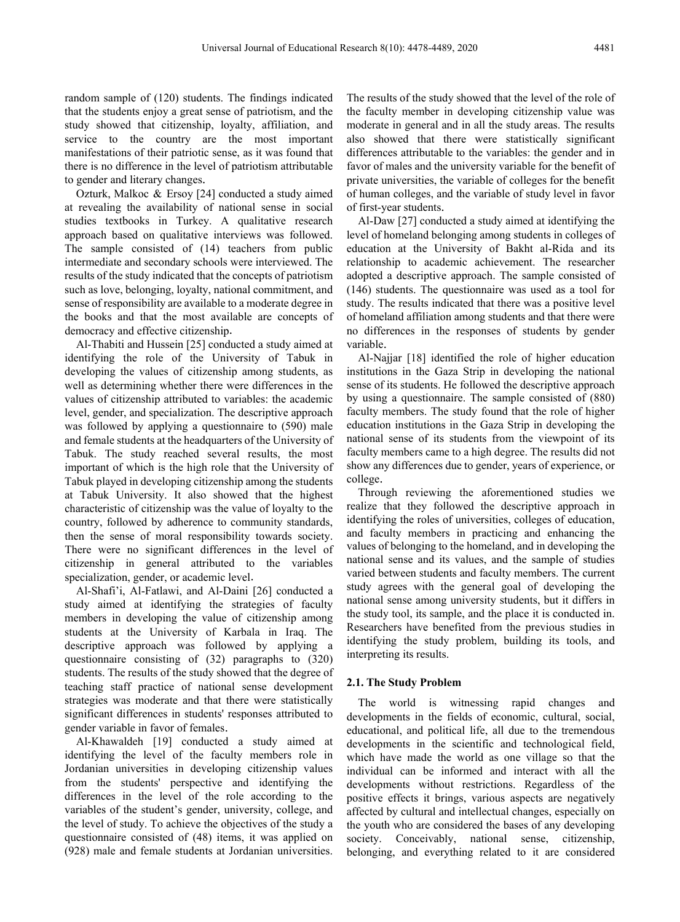random sample of (120) students. The findings indicated that the students enjoy a great sense of patriotism, and the study showed that citizenship, loyalty, affiliation, and service to the country are the most important manifestations of their patriotic sense, as it was found that there is no difference in the level of patriotism attributable to gender and literary changes.

Ozturk, Malkoc & Ersoy [24] conducted a study aimed at revealing the availability of national sense in social studies textbooks in Turkey. A qualitative research approach based on qualitative interviews was followed. The sample consisted of (14) teachers from public intermediate and secondary schools were interviewed. The results of the study indicated that the concepts of patriotism such as love, belonging, loyalty, national commitment, and sense of responsibility are available to a moderate degree in the books and that the most available are concepts of democracy and effective citizenship.

Al-Thabiti and Hussein [25] conducted a study aimed at identifying the role of the University of Tabuk in developing the values of citizenship among students, as well as determining whether there were differences in the values of citizenship attributed to variables: the academic level, gender, and specialization. The descriptive approach was followed by applying a questionnaire to (590) male and female students at the headquarters of the University of Tabuk. The study reached several results, the most important of which is the high role that the University of Tabuk played in developing citizenship among the students at Tabuk University. It also showed that the highest characteristic of citizenship was the value of loyalty to the country, followed by adherence to community standards, then the sense of moral responsibility towards society. There were no significant differences in the level of citizenship in general attributed to the variables specialization, gender, or academic level.

Al-Shafi'i, Al-Fatlawi, and Al-Daini [26] conducted a study aimed at identifying the strategies of faculty members in developing the value of citizenship among students at the University of Karbala in Iraq. The descriptive approach was followed by applying a questionnaire consisting of (32) paragraphs to (320) students. The results of the study showed that the degree of teaching staff practice of national sense development strategies was moderate and that there were statistically significant differences in students' responses attributed to gender variable in favor of females.

Al-Khawaldeh [19] conducted a study aimed at identifying the level of the faculty members role in Jordanian universities in developing citizenship values from the students' perspective and identifying the differences in the level of the role according to the variables of the student's gender, university, college, and the level of study. To achieve the objectives of the study a questionnaire consisted of (48) items, it was applied on (928) male and female students at Jordanian universities.

The results of the study showed that the level of the role of the faculty member in developing citizenship value was moderate in general and in all the study areas. The results also showed that there were statistically significant differences attributable to the variables: the gender and in favor of males and the university variable for the benefit of private universities, the variable of colleges for the benefit of human colleges, and the variable of study level in favor of first-year students.

Al-Daw [27] conducted a study aimed at identifying the level of homeland belonging among students in colleges of education at the University of Bakht al-Rida and its relationship to academic achievement. The researcher adopted a descriptive approach. The sample consisted of (146) students. The questionnaire was used as a tool for study. The results indicated that there was a positive level of homeland affiliation among students and that there were no differences in the responses of students by gender variable.

Al-Najjar [18] identified the role of higher education institutions in the Gaza Strip in developing the national sense of its students. He followed the descriptive approach by using a questionnaire. The sample consisted of (880) faculty members. The study found that the role of higher education institutions in the Gaza Strip in developing the national sense of its students from the viewpoint of its faculty members came to a high degree. The results did not show any differences due to gender, years of experience, or college.

Through reviewing the aforementioned studies we realize that they followed the descriptive approach in identifying the roles of universities, colleges of education, and faculty members in practicing and enhancing the values of belonging to the homeland, and in developing the national sense and its values, and the sample of studies varied between students and faculty members. The current study agrees with the general goal of developing the national sense among university students, but it differs in the study tool, its sample, and the place it is conducted in. Researchers have benefited from the previous studies in identifying the study problem, building its tools, and interpreting its results.

### **2.1. The Study Problem**

The world is witnessing rapid changes and developments in the fields of economic, cultural, social, educational, and political life, all due to the tremendous developments in the scientific and technological field, which have made the world as one village so that the individual can be informed and interact with all the developments without restrictions. Regardless of the positive effects it brings, various aspects are negatively affected by cultural and intellectual changes, especially on the youth who are considered the bases of any developing society. Conceivably, national sense, citizenship, belonging, and everything related to it are considered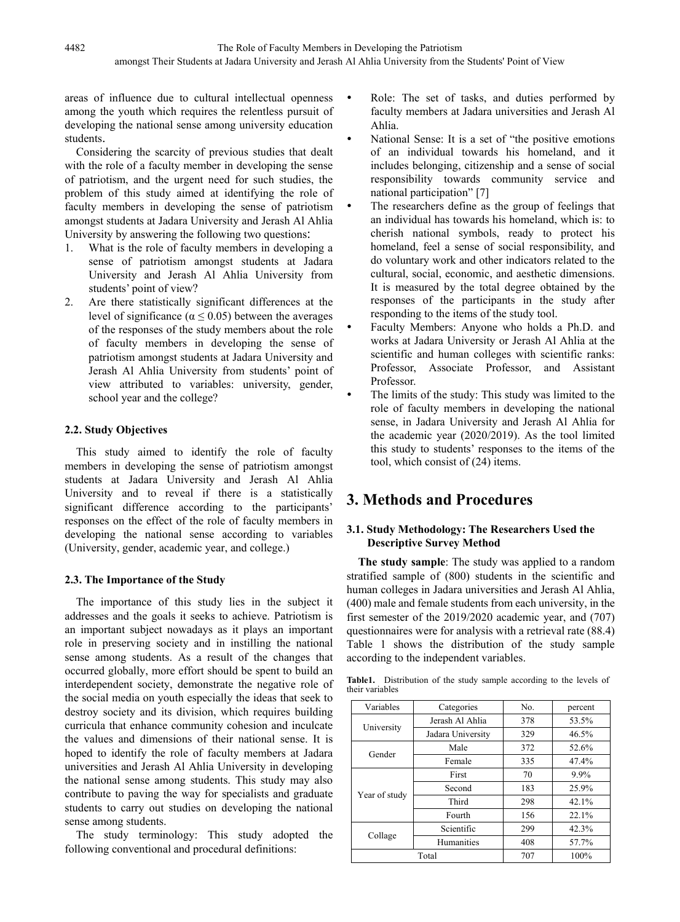areas of influence due to cultural intellectual openness among the youth which requires the relentless pursuit of developing the national sense among university education students.

Considering the scarcity of previous studies that dealt with the role of a faculty member in developing the sense of patriotism, and the urgent need for such studies, the problem of this study aimed at identifying the role of faculty members in developing the sense of patriotism amongst students at Jadara University and Jerash Al Ahlia University by answering the following two questions:

- 1. What is the role of faculty members in developing a sense of patriotism amongst students at Jadara University and Jerash Al Ahlia University from students' point of view?
- 2. Are there statistically significant differences at the level of significance ( $\alpha \leq 0.05$ ) between the averages of the responses of the study members about the role of faculty members in developing the sense of patriotism amongst students at Jadara University and Jerash Al Ahlia University from students' point of view attributed to variables: university, gender, school year and the college?

# **2.2. Study Objectives**

This study aimed to identify the role of faculty members in developing the sense of patriotism amongst students at Jadara University and Jerash Al Ahlia University and to reveal if there is a statistically significant difference according to the participants' responses on the effect of the role of faculty members in developing the national sense according to variables (University, gender, academic year, and college.)

# **2.3. The Importance of the Study**

The importance of this study lies in the subject it addresses and the goals it seeks to achieve. Patriotism is an important subject nowadays as it plays an important role in preserving society and in instilling the national sense among students. As a result of the changes that occurred globally, more effort should be spent to build an interdependent society, demonstrate the negative role of the social media on youth especially the ideas that seek to destroy society and its division, which requires building curricula that enhance community cohesion and inculcate the values and dimensions of their national sense. It is hoped to identify the role of faculty members at Jadara universities and Jerash Al Ahlia University in developing the national sense among students. This study may also contribute to paving the way for specialists and graduate students to carry out studies on developing the national sense among students.

The study terminology: This study adopted the following conventional and procedural definitions:

- Role: The set of tasks, and duties performed by faculty members at Jadara universities and Jerash Al Ahlia.
- National Sense: It is a set of "the positive emotions of an individual towards his homeland, and it includes belonging, citizenship and a sense of social responsibility towards community service and national participation" [7]
- The researchers define as the group of feelings that an individual has towards his homeland, which is: to cherish national symbols, ready to protect his homeland, feel a sense of social responsibility, and do voluntary work and other indicators related to the cultural, social, economic, and aesthetic dimensions. It is measured by the total degree obtained by the responses of the participants in the study after responding to the items of the study tool.
- Faculty Members: Anyone who holds a Ph.D. and works at Jadara University or Jerash Al Ahlia at the scientific and human colleges with scientific ranks: Professor, Associate Professor, and Assistant Professor.
- The limits of the study: This study was limited to the role of faculty members in developing the national sense, in Jadara University and Jerash Al Ahlia for the academic year (2020/2019). As the tool limited this study to students' responses to the items of the tool, which consist of (24) items.

# **3. Methods and Procedures**

# **3.1. Study Methodology: The Researchers Used the Descriptive Survey Method**

**The study sample**: The study was applied to a random stratified sample of (800) students in the scientific and human colleges in Jadara universities and Jerash Al Ahlia, (400) male and female students from each university, in the first semester of the 2019/2020 academic year, and (707) questionnaires were for analysis with a retrieval rate (88.4) Table 1 shows the distribution of the study sample according to the independent variables.

**Table1.** Distribution of the study sample according to the levels of their variables

| Variables     | Categories        | No. | percent  |
|---------------|-------------------|-----|----------|
|               | Jerash Al Ahlia   | 378 | 53.5%    |
| University    | Jadara University | 329 | 46.5%    |
|               | Male              | 372 | 52.6%    |
| Gender        | Female            | 335 | 47.4%    |
|               | First             | 70  | 9.9%     |
|               | Second            | 183 | 25.9%    |
| Year of study | Third             | 298 | $42.1\%$ |
|               | Fourth            | 156 | 22.1%    |
|               | Scientific        | 299 | 42.3%    |
| Collage       | Humanities        | 408 | 57.7%    |
|               | Total             | 707 | 100%     |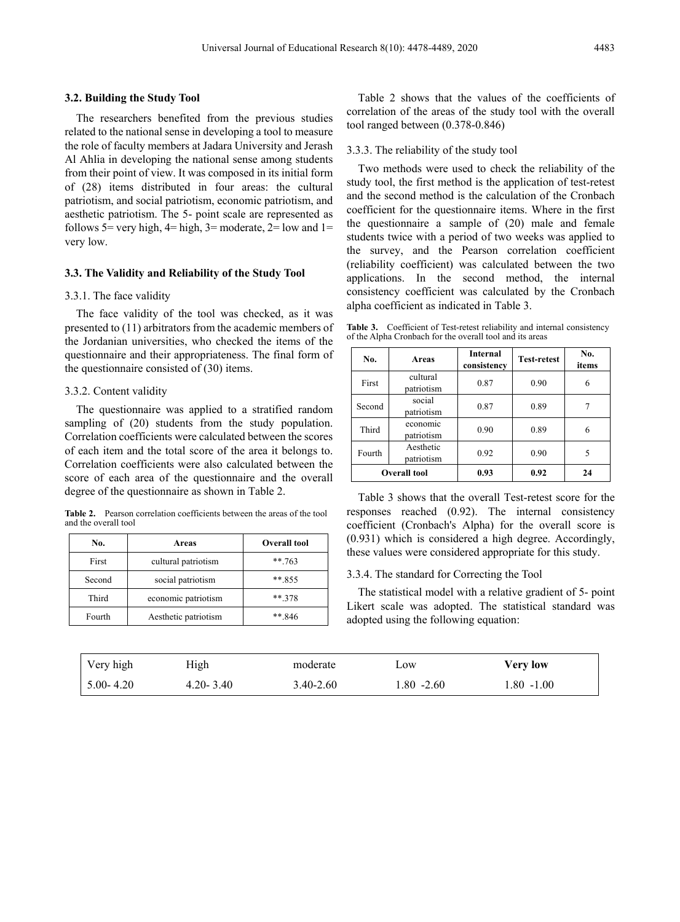#### **3.2. Building the Study Tool**

The researchers benefited from the previous studies related to the national sense in developing a tool to measure the role of faculty members at Jadara University and Jerash Al Ahlia in developing the national sense among students from their point of view. It was composed in its initial form of (28) items distributed in four areas: the cultural patriotism, and social patriotism, economic patriotism, and aesthetic patriotism. The 5- point scale are represented as follows 5= very high,  $4=$  high,  $3=$  moderate,  $2=$  low and  $1=$ very low.

#### **3.3. The Validity and Reliability of the Study Tool**

#### 3.3.1. The face validity

The face validity of the tool was checked, as it was presented to (11) arbitrators from the academic members of the Jordanian universities, who checked the items of the questionnaire and their appropriateness. The final form of the questionnaire consisted of (30) items.

#### 3.3.2. Content validity

The questionnaire was applied to a stratified random sampling of  $(20)$  students from the study population. Correlation coefficients were calculated between the scores of each item and the total score of the area it belongs to. Correlation coefficients were also calculated between the score of each area of the questionnaire and the overall degree of the questionnaire as shown in Table 2.

**Table 2.** Pearson correlation coefficients between the areas of the tool and the overall tool

| No.    | Areas                | <b>Overall tool</b> |
|--------|----------------------|---------------------|
| First  | cultural patriotism  | ** 763              |
| Second | social patriotism    | $** 855$            |
| Third  | economic patriotism  | $** 378$            |
| Fourth | Aesthetic patriotism | $** 846$            |

Table 2 shows that the values of the coefficients of correlation of the areas of the study tool with the overall tool ranged between (0.378-0.846)

#### 3.3.3. The reliability of the study tool

Two methods were used to check the reliability of the study tool, the first method is the application of test-retest and the second method is the calculation of the Cronbach coefficient for the questionnaire items. Where in the first the questionnaire a sample of (20) male and female students twice with a period of two weeks was applied to the survey, and the Pearson correlation coefficient (reliability coefficient) was calculated between the two applications. In the second method, the internal consistency coefficient was calculated by the Cronbach alpha coefficient as indicated in Table 3.

Table 3. Coefficient of Test-retest reliability and internal consistency of the Alpha Cronbach for the overall tool and its areas

| No.    | Areas                   | <b>Internal</b><br>consistency | <b>Test-retest</b> | No.<br>items |
|--------|-------------------------|--------------------------------|--------------------|--------------|
| First  | cultural<br>patriotism  | 0.87                           | 0.90               | 6            |
| Second | social<br>patriotism    | 0.87                           | 0.89               |              |
| Third  | economic<br>patriotism  | 0.90                           | 0.89               | 6            |
| Fourth | Aesthetic<br>patriotism | 0.92                           | 0.90               | 5            |
|        | <b>Overall tool</b>     | 0.93                           | 0.92               | 24           |

Table 3 shows that the overall Test-retest score for the responses reached (0.92). The internal consistency coefficient (Cronbach's Alpha) for the overall score is (0.931) which is considered a high degree. Accordingly, these values were considered appropriate for this study.

#### 3.3.4. The standard for Correcting the Tool

The statistical model with a relative gradient of 5- point Likert scale was adopted. The statistical standard was adopted using the following equation:

| Very high     | High          | moderate  | LOW        | Very low   |
|---------------|---------------|-----------|------------|------------|
| $5.00 - 4.20$ | $4.20 - 3.40$ | 3.40-2.60 | 1.80 -2.60 | 1.80 -1.00 |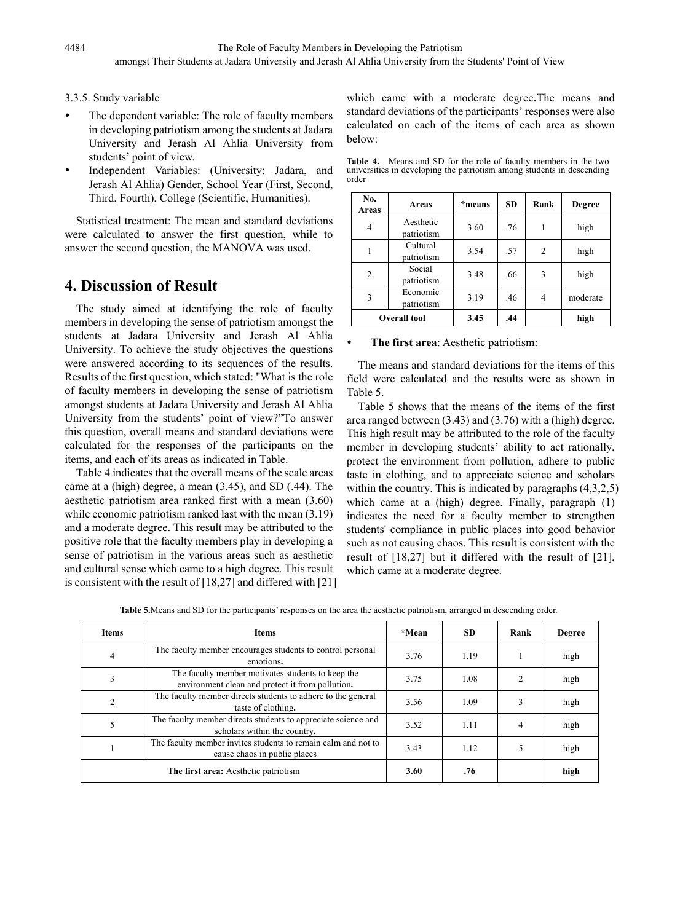### 3.3.5. Study variable

- The dependent variable: The role of faculty members in developing patriotism among the students at Jadara University and Jerash Al Ahlia University from students' point of view.
- Independent Variables: (University: Jadara, and Jerash Al Ahlia) Gender, School Year (First, Second, Third, Fourth), College (Scientific, Humanities).

Statistical treatment: The mean and standard deviations were calculated to answer the first question, while to answer the second question, the MANOVA was used.

# **4. Discussion of Result**

The study aimed at identifying the role of faculty members in developing the sense of patriotism amongst the students at Jadara University and Jerash Al Ahlia University. To achieve the study objectives the questions were answered according to its sequences of the results. Results of the first question, which stated: "What is the role of faculty members in developing the sense of patriotism amongst students at Jadara University and Jerash Al Ahlia University from the students' point of view?"To answer this question, overall means and standard deviations were calculated for the responses of the participants on the items, and each of its areas as indicated in Table.

Table 4 indicates that the overall means of the scale areas came at a (high) degree, a mean (3.45), and SD (.44). The aesthetic patriotism area ranked first with a mean (3.60) while economic patriotism ranked last with the mean  $(3.19)$ and a moderate degree. This result may be attributed to the positive role that the faculty members play in developing a sense of patriotism in the various areas such as aesthetic and cultural sense which came to a high degree. This result is consistent with the result of [18,27] and differed with [21] which came with a moderate degree.The means and standard deviations of the participants' responses were also calculated on each of the items of each area as shown below:

**Table 4.** Means and SD for the role of faculty members in the two universities in developing the patriotism among students in descending order

| No.<br>Areas        | Areas                   | *means | <b>SD</b> | Rank | <b>Degree</b> |
|---------------------|-------------------------|--------|-----------|------|---------------|
| $\overline{4}$      | Aesthetic<br>patriotism | 3.60   | .76       |      | high          |
|                     | Cultural<br>patriotism  | 3.54   | .57       | 2    | high          |
| $\overline{2}$      | Social<br>patriotism    | 3.48   | .66       | 3    | high          |
| 3                   | Economic<br>patriotism  | 3.19   | .46       | 4    | moderate      |
| <b>Overall tool</b> |                         | 3.45   | .44       |      | high          |

### **The first area**: Aesthetic patriotism:

The means and standard deviations for the items of this field were calculated and the results were as shown in Table 5.

Table 5 shows that the means of the items of the first area ranged between (3.43) and (3.76) with a (high) degree. This high result may be attributed to the role of the faculty member in developing students' ability to act rationally, protect the environment from pollution, adhere to public taste in clothing, and to appreciate science and scholars within the country. This is indicated by paragraphs  $(4,3,2,5)$ which came at a (high) degree. Finally, paragraph (1) indicates the need for a faculty member to strengthen students' compliance in public places into good behavior such as not causing chaos. This result is consistent with the result of [18,27] but it differed with the result of [21], which came at a moderate degree.

**Table 5.**Means and SD for the participants' responses on the area the aesthetic patriotism, arranged in descending order.

| <b>Items</b>   | <b>Items</b>                                                                                          | *Mean | <b>SD</b> | Rank           | Degree |
|----------------|-------------------------------------------------------------------------------------------------------|-------|-----------|----------------|--------|
| 4              | The faculty member encourages students to control personal<br>emotions.                               | 3.76  | 1.19      |                | high   |
| 3              | The faculty member motivates students to keep the<br>environment clean and protect it from pollution. | 3.75  | 1.08      | $\mathfrak{D}$ | high   |
| $\overline{c}$ | The faculty member directs students to adhere to the general<br>taste of clothing.                    | 3.56  | 1.09      |                | high   |
| 5              | The faculty member directs students to appreciate science and<br>scholars within the country.         | 3.52  | 1.11      | 4              | high   |
|                | The faculty member invites students to remain calm and not to<br>cause chaos in public places         | 3.43  | 1.12      |                | high   |
|                | The first area: Aesthetic patriotism                                                                  | 3.60  | .76       |                | high   |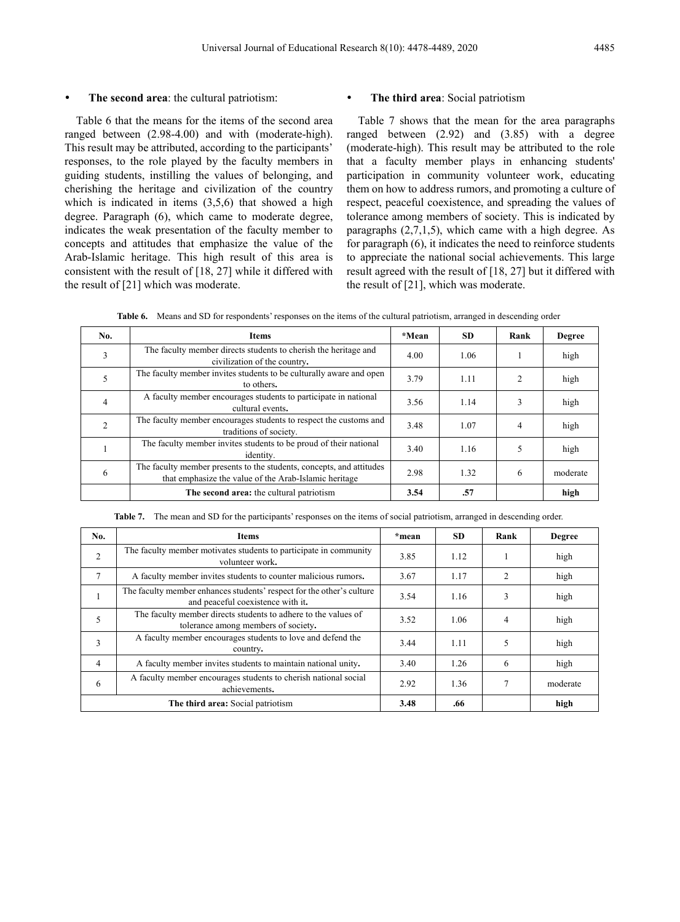#### **The second area**: the cultural patriotism:

Table 6 that the means for the items of the second area ranged between (2.98-4.00) and with (moderate-high). This result may be attributed, according to the participants' responses, to the role played by the faculty members in guiding students, instilling the values of belonging, and cherishing the heritage and civilization of the country which is indicated in items  $(3,5,6)$  that showed a high degree. Paragraph (6), which came to moderate degree, indicates the weak presentation of the faculty member to concepts and attitudes that emphasize the value of the Arab-Islamic heritage. This high result of this area is consistent with the result of [18, 27] while it differed with the result of [21] which was moderate.

#### **The third area**: Social patriotism

Table 7 shows that the mean for the area paragraphs ranged between (2.92) and (3.85) with a degree (moderate-high). This result may be attributed to the role that a faculty member plays in enhancing students' participation in community volunteer work, educating them on how to address rumors, and promoting a culture of respect, peaceful coexistence, and spreading the values of tolerance among members of society. This is indicated by paragraphs (2,7,1,5), which came with a high degree. As for paragraph (6), it indicates the need to reinforce students to appreciate the national social achievements. This large result agreed with the result of [18, 27] but it differed with the result of [21], which was moderate.

**Table 6.** Means and SD for respondents' responses on the items of the cultural patriotism, arranged in descending order

| No.            | Items                                                                                                                         | *Mean | <b>SD</b> | Rank | Degree   |
|----------------|-------------------------------------------------------------------------------------------------------------------------------|-------|-----------|------|----------|
| 3              | The faculty member directs students to cherish the heritage and<br>civilization of the country.                               | 4.00  | 1.06      |      | high     |
| 5              | The faculty member invites students to be culturally aware and open<br>to others.                                             |       | 1.11      | 2    | high     |
| $\overline{4}$ | A faculty member encourages students to participate in national<br>cultural events.                                           | 3.56  | 1.14      |      | high     |
| $\overline{2}$ | The faculty member encourages students to respect the customs and<br>traditions of society.                                   | 3.48  | 1.07      | 4    | high     |
|                | The faculty member invites students to be proud of their national<br>identity.                                                | 3.40  | 1.16      |      | high     |
| 6              | The faculty member presents to the students, concepts, and attitudes<br>that emphasize the value of the Arab-Islamic heritage | 2.98  | 1.32      | 6    | moderate |
|                | The second area: the cultural patriotism                                                                                      | 3.54  | .57       |      | high     |

**Table 7.** The mean and SD for the participants' responses on the items of social patriotism, arranged in descending order.

| No. | Items                                                                                                      | *mean | <b>SD</b> | Rank           | <b>Degree</b> |
|-----|------------------------------------------------------------------------------------------------------------|-------|-----------|----------------|---------------|
| 2   | The faculty member motivates students to participate in community<br>volunteer work.                       | 3.85  | 1.12      |                | high          |
|     | A faculty member invites students to counter malicious rumors.                                             | 3.67  | 1.17      | $\mathfrak{D}$ | high          |
|     | The faculty member enhances students' respect for the other's culture<br>and peaceful coexistence with it. | 3.54  | 1.16      | 3              | high          |
| 5   | The faculty member directs students to adhere to the values of<br>tolerance among members of society.      | 3.52  | 1.06      | 4              | high          |
| 3   | A faculty member encourages students to love and defend the<br>country.                                    | 3.44  | 1.11      | 5              | high          |
| 4   | A faculty member invites students to maintain national unity.                                              | 3.40  | 1.26      | 6              | high          |
| 6   | A faculty member encourages students to cherish national social<br>achievements.                           | 2.92  | 1.36      |                | moderate      |
|     | The third area: Social patriotism                                                                          | 3.48  | .66       |                | high          |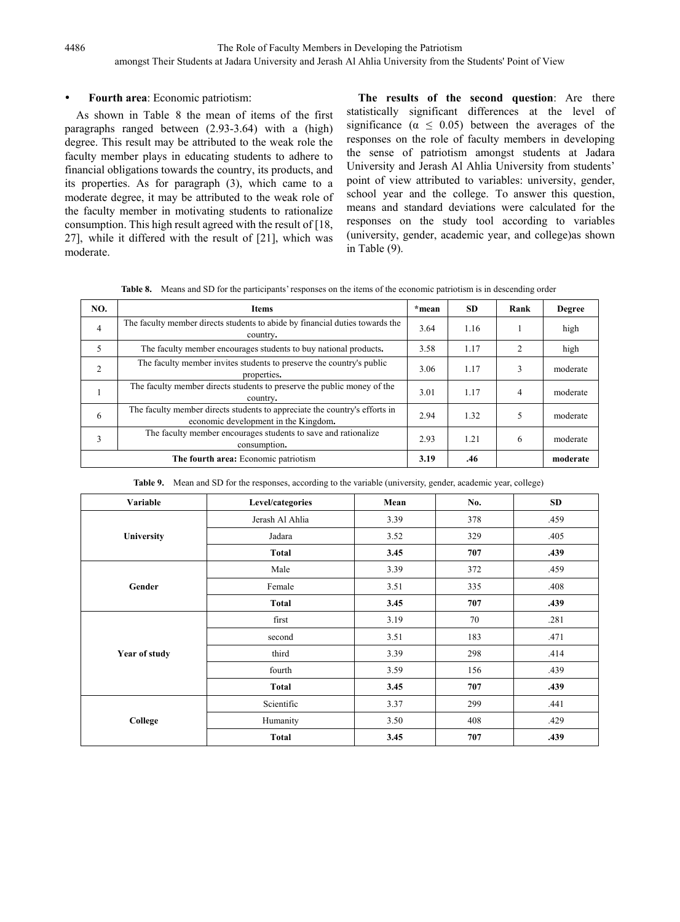### **Fourth area**: Economic patriotism:

As shown in Table 8 the mean of items of the first paragraphs ranged between (2.93-3.64) with a (high) degree. This result may be attributed to the weak role the faculty member plays in educating students to adhere to financial obligations towards the country, its products, and its properties. As for paragraph (3), which came to a moderate degree, it may be attributed to the weak role of the faculty member in motivating students to rationalize consumption. This high result agreed with the result of [18, 27], while it differed with the result of [21], which was moderate.

**The results of the second question**: Are there statistically significant differences at the level of significance ( $\alpha \leq 0.05$ ) between the averages of the responses on the role of faculty members in developing the sense of patriotism amongst students at Jadara University and Jerash Al Ahlia University from students' point of view attributed to variables: university, gender, school year and the college. To answer this question, means and standard deviations were calculated for the responses on the study tool according to variables (university, gender, academic year, and college)as shown in Table (9).

**Table 8.** Means and SD for the participants' responses on the items of the economic patriotism is in descending order

| NO.            | <b>Items</b>                                                                                                       | *mean | <b>SD</b> | Rank           | <b>Degree</b> |
|----------------|--------------------------------------------------------------------------------------------------------------------|-------|-----------|----------------|---------------|
| 4              | The faculty member directs students to abide by financial duties towards the<br>country.                           | 3.64  | 1.16      |                | high          |
| 5              | The faculty member encourages students to buy national products.                                                   | 3.58  | 1.17      | $\overline{c}$ | high          |
| $\overline{2}$ | The faculty member invites students to preserve the country's public<br>properties.                                | 3.06  | 1.17      |                | moderate      |
|                | The faculty member directs students to preserve the public money of the<br>country.                                | 3.01  | 1.17      | 4              | moderate      |
| 6              | The faculty member directs students to appreciate the country's efforts in<br>economic development in the Kingdom. | 2.94  | 1.32      |                | moderate      |
| 3              | The faculty member encourages students to save and rationalize<br>consumption.                                     | 2.93  | 1.21      | 6              | moderate      |
|                | The fourth area: Economic patriotism                                                                               | 3.19  | .46       |                | moderate      |

**Table 9.** Mean and SD for the responses, according to the variable (university, gender, academic year, college)

| Variable      | Level/categories | Mean | No. | <b>SD</b> |
|---------------|------------------|------|-----|-----------|
|               | Jerash Al Ahlia  | 3.39 | 378 | .459      |
| University    | Jadara           | 3.52 | 329 | .405      |
|               | Total            | 3.45 | 707 | .439      |
|               | Male             | 3.39 | 372 | .459      |
| Gender        | Female           | 3.51 | 335 | .408      |
|               | <b>Total</b>     | 3.45 | 707 | .439      |
|               | first            | 3.19 | 70  | .281      |
|               | second           | 3.51 | 183 | .471      |
| Year of study | third            | 3.39 | 298 | .414      |
|               | fourth           | 3.59 | 156 | .439      |
|               | <b>Total</b>     | 3.45 | 707 | .439      |
|               | Scientific       | 3.37 | 299 | .441      |
| College       | Humanity         | 3.50 | 408 | .429      |
|               | <b>Total</b>     | 3.45 | 707 | .439      |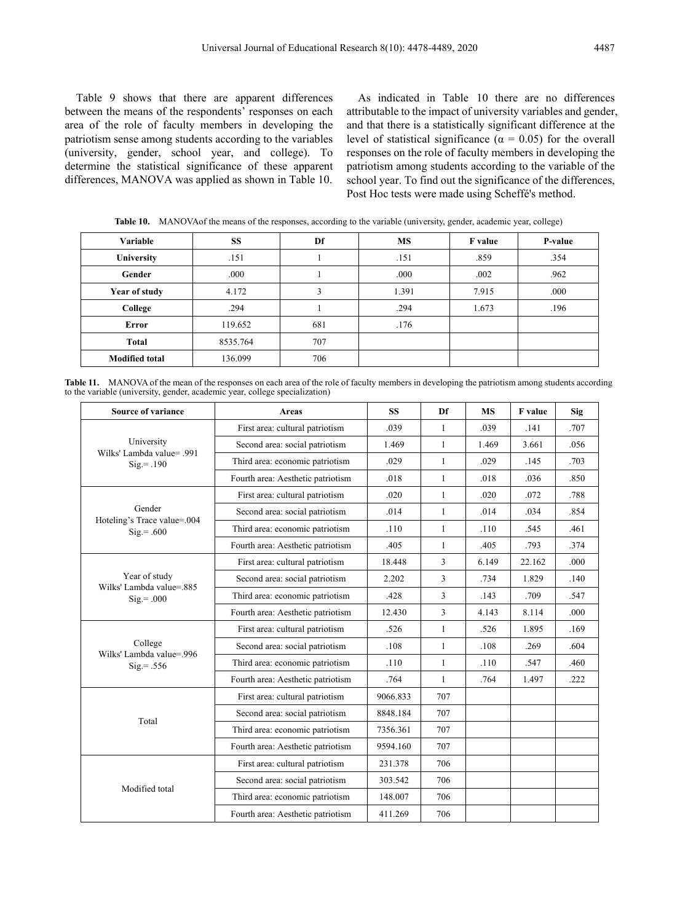Table 9 shows that there are apparent differences between the means of the respondents' responses on each area of the role of faculty members in developing the patriotism sense among students according to the variables (university, gender, school year, and college). To determine the statistical significance of these apparent differences, MANOVA was applied as shown in Table 10.

As indicated in Table 10 there are no differences attributable to the impact of university variables and gender, and that there is a statistically significant difference at the level of statistical significance ( $\alpha = 0.05$ ) for the overall responses on the role of faculty members in developing the patriotism among students according to the variable of the school year. To find out the significance of the differences, Post Hoc tests were made using Scheffé's method.

| Variable              | <b>SS</b> | Df  | <b>MS</b> | <b>F</b> value | P-value |
|-----------------------|-----------|-----|-----------|----------------|---------|
| University            | .151      |     | .151      | .859           | .354    |
| Gender                | .000      |     | .000      | .002           | .962    |
| Year of study         | 4.172     | 3   | 1.391     | 7.915          | .000    |
| College               | .294      |     | .294      | 1.673          | .196    |
| Error                 | 119.652   | 681 | .176      |                |         |
| Total                 | 8535.764  | 707 |           |                |         |
| <b>Modified total</b> | 136.099   | 706 |           |                |         |

**Table 10.** MANOVAof the means of the responses, according to the variable (university, gender, academic year, college)

**Table 11.** MANOVA of the mean of the responses on each area of the role of faculty members in developing the patriotism among students according to the variable (university, gender, academic year, college specialization)

| <b>Source of variance</b>                               | <b>Areas</b>                                                                                                                                                                                                                                                                                                                                                                                                                                                                                                                                                                                                                                                                                                                                                                                                                                                                                                                                                                | <b>SS</b>    | Df           | <b>MS</b> | F value | Sig  |
|---------------------------------------------------------|-----------------------------------------------------------------------------------------------------------------------------------------------------------------------------------------------------------------------------------------------------------------------------------------------------------------------------------------------------------------------------------------------------------------------------------------------------------------------------------------------------------------------------------------------------------------------------------------------------------------------------------------------------------------------------------------------------------------------------------------------------------------------------------------------------------------------------------------------------------------------------------------------------------------------------------------------------------------------------|--------------|--------------|-----------|---------|------|
|                                                         | First area: cultural patriotism                                                                                                                                                                                                                                                                                                                                                                                                                                                                                                                                                                                                                                                                                                                                                                                                                                                                                                                                             | .039         | $\mathbf{1}$ | .039      | .141    | .707 |
| University<br>Wilks' Lambda value= .991<br>$Sig = .190$ | Second area: social patriotism                                                                                                                                                                                                                                                                                                                                                                                                                                                                                                                                                                                                                                                                                                                                                                                                                                                                                                                                              | 1.469        | $\mathbf{1}$ | 1.469     | 3.661   | .056 |
|                                                         | Third area: economic patriotism                                                                                                                                                                                                                                                                                                                                                                                                                                                                                                                                                                                                                                                                                                                                                                                                                                                                                                                                             | .029         | 1            | .029      | .145    | .703 |
|                                                         | Fourth area: Aesthetic patriotism<br>.018<br>First area: cultural patriotism<br>.020<br>Second area: social patriotism<br>.014<br>Third area: economic patriotism<br>.110<br>Fourth area: Aesthetic patriotism<br>.405<br>First area: cultural patriotism<br>18.448<br>Second area: social patriotism<br>2.202<br>.428<br>Third area: economic patriotism<br>Fourth area: Aesthetic patriotism<br>12.430<br>First area: cultural patriotism<br>.526<br>Second area: social patriotism<br>.108<br>Third area: economic patriotism<br>.110<br>Fourth area: Aesthetic patriotism<br>.764<br>First area: cultural patriotism<br>9066.833<br>Second area: social patriotism<br>8848.184<br>Third area: economic patriotism<br>7356.361<br>Fourth area: Aesthetic patriotism<br>9594.160<br>First area: cultural patriotism<br>231.378<br>Second area: social patriotism<br>303.542<br>Third area: economic patriotism<br>148.007<br>Fourth area: Aesthetic patriotism<br>411.269 | $\mathbf{1}$ | .018         | .036      | .850    |      |
|                                                         |                                                                                                                                                                                                                                                                                                                                                                                                                                                                                                                                                                                                                                                                                                                                                                                                                                                                                                                                                                             |              | 1            | .020      | .072    | .788 |
| Gender<br>Hoteling's Trace value=.004                   |                                                                                                                                                                                                                                                                                                                                                                                                                                                                                                                                                                                                                                                                                                                                                                                                                                                                                                                                                                             |              | 1            | .014      | .034    | .854 |
| $Sig = .600$                                            |                                                                                                                                                                                                                                                                                                                                                                                                                                                                                                                                                                                                                                                                                                                                                                                                                                                                                                                                                                             |              | 1            | .110      | .545    | .461 |
|                                                         |                                                                                                                                                                                                                                                                                                                                                                                                                                                                                                                                                                                                                                                                                                                                                                                                                                                                                                                                                                             |              | $\mathbf{1}$ | .405      | .793    | .374 |
|                                                         |                                                                                                                                                                                                                                                                                                                                                                                                                                                                                                                                                                                                                                                                                                                                                                                                                                                                                                                                                                             |              | 3            | 6.149     | 22.162  | .000 |
| Year of study<br>Wilks' Lambda value=.885               |                                                                                                                                                                                                                                                                                                                                                                                                                                                                                                                                                                                                                                                                                                                                                                                                                                                                                                                                                                             |              | 3            | .734      | 1.829   | .140 |
| $\text{Sig} = .000$                                     |                                                                                                                                                                                                                                                                                                                                                                                                                                                                                                                                                                                                                                                                                                                                                                                                                                                                                                                                                                             |              | 3            | .143      | .709    | .547 |
|                                                         |                                                                                                                                                                                                                                                                                                                                                                                                                                                                                                                                                                                                                                                                                                                                                                                                                                                                                                                                                                             |              | 3            | 4.143     | 8.114   | .000 |
|                                                         |                                                                                                                                                                                                                                                                                                                                                                                                                                                                                                                                                                                                                                                                                                                                                                                                                                                                                                                                                                             |              | $\mathbf{1}$ | .526      | 1.895   | .169 |
| College<br>Wilks' Lambda value=.996                     |                                                                                                                                                                                                                                                                                                                                                                                                                                                                                                                                                                                                                                                                                                                                                                                                                                                                                                                                                                             |              | $\mathbf{1}$ | .108      | .269    | .604 |
| $\text{Sig} = .556$                                     |                                                                                                                                                                                                                                                                                                                                                                                                                                                                                                                                                                                                                                                                                                                                                                                                                                                                                                                                                                             |              | 1            | .110      | .547    | .460 |
|                                                         | $\mathbf{1}$<br>707<br>707<br>707<br>707<br>706<br>706<br>706<br>706                                                                                                                                                                                                                                                                                                                                                                                                                                                                                                                                                                                                                                                                                                                                                                                                                                                                                                        |              | .764         | 1.497     | .222    |      |
|                                                         |                                                                                                                                                                                                                                                                                                                                                                                                                                                                                                                                                                                                                                                                                                                                                                                                                                                                                                                                                                             |              |              |           |         |      |
| Total                                                   |                                                                                                                                                                                                                                                                                                                                                                                                                                                                                                                                                                                                                                                                                                                                                                                                                                                                                                                                                                             |              |              |           |         |      |
|                                                         |                                                                                                                                                                                                                                                                                                                                                                                                                                                                                                                                                                                                                                                                                                                                                                                                                                                                                                                                                                             |              |              |           |         |      |
|                                                         |                                                                                                                                                                                                                                                                                                                                                                                                                                                                                                                                                                                                                                                                                                                                                                                                                                                                                                                                                                             |              |              |           |         |      |
|                                                         |                                                                                                                                                                                                                                                                                                                                                                                                                                                                                                                                                                                                                                                                                                                                                                                                                                                                                                                                                                             |              |              |           |         |      |
| Modified total                                          |                                                                                                                                                                                                                                                                                                                                                                                                                                                                                                                                                                                                                                                                                                                                                                                                                                                                                                                                                                             |              |              |           |         |      |
|                                                         |                                                                                                                                                                                                                                                                                                                                                                                                                                                                                                                                                                                                                                                                                                                                                                                                                                                                                                                                                                             |              |              |           |         |      |
|                                                         |                                                                                                                                                                                                                                                                                                                                                                                                                                                                                                                                                                                                                                                                                                                                                                                                                                                                                                                                                                             |              |              |           |         |      |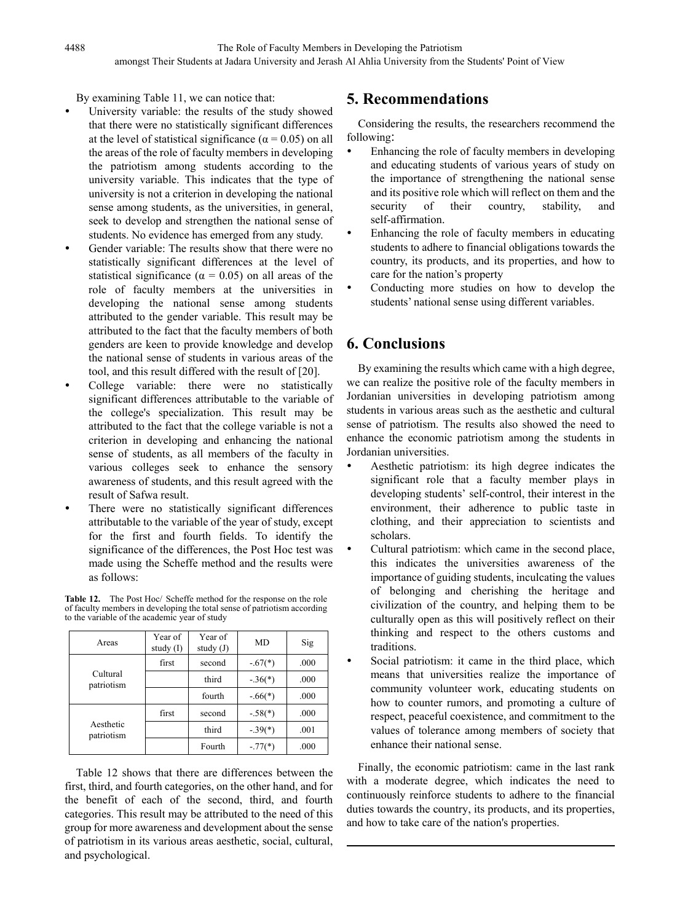By examining Table 11, we can notice that:

- University variable: the results of the study showed that there were no statistically significant differences at the level of statistical significance ( $\alpha$  = 0.05) on all the areas of the role of faculty members in developing the patriotism among students according to the university variable. This indicates that the type of university is not a criterion in developing the national sense among students, as the universities, in general, seek to develop and strengthen the national sense of students. No evidence has emerged from any study.
- Gender variable: The results show that there were no statistically significant differences at the level of statistical significance ( $\alpha = 0.05$ ) on all areas of the role of faculty members at the universities in developing the national sense among students attributed to the gender variable. This result may be attributed to the fact that the faculty members of both genders are keen to provide knowledge and develop the national sense of students in various areas of the tool, and this result differed with the result of [20].
- College variable: there were no statistically significant differences attributable to the variable of the college's specialization. This result may be attributed to the fact that the college variable is not a criterion in developing and enhancing the national sense of students, as all members of the faculty in various colleges seek to enhance the sensory awareness of students, and this result agreed with the result of Safwa result.
- There were no statistically significant differences attributable to the variable of the year of study, except for the first and fourth fields. To identify the significance of the differences, the Post Hoc test was made using the Scheffe method and the results were as follows:

**Table 12.** The Post Hoc/ Scheffe method for the response on the role of faculty members in developing the total sense of patriotism according to the variable of the academic year of study

| Areas                   | Year of<br>study $(I)$ | Year of<br>study $(J)$ | MD        | Sig  |
|-------------------------|------------------------|------------------------|-----------|------|
| Cultural<br>patriotism  | first                  | second                 | $-.67(*)$ | .000 |
|                         |                        | third                  | $-.36(*)$ | .000 |
|                         |                        | fourth                 | $-.66(*)$ | .000 |
| Aesthetic<br>patriotism | first                  | second                 | $-.58(*)$ | .000 |
|                         |                        | third                  | $-.39(*)$ | .001 |
|                         |                        | Fourth                 | $-.77(*)$ | .000 |

Table 12 shows that there are differences between the first, third, and fourth categories, on the other hand, and for the benefit of each of the second, third, and fourth categories. This result may be attributed to the need of this group for more awareness and development about the sense of patriotism in its various areas aesthetic, social, cultural, and psychological.

# **5. Recommendations**

Considering the results, the researchers recommend the following:

- Enhancing the role of faculty members in developing and educating students of various years of study on the importance of strengthening the national sense and its positive role which will reflect on them and the security of their country, stability, and self-affirmation.
- Enhancing the role of faculty members in educating students to adhere to financial obligations towards the country, its products, and its properties, and how to care for the nation's property
- Conducting more studies on how to develop the students' national sense using different variables.

# **6. Conclusions**

By examining the results which came with a high degree, we can realize the positive role of the faculty members in Jordanian universities in developing patriotism among students in various areas such as the aesthetic and cultural sense of patriotism. The results also showed the need to enhance the economic patriotism among the students in Jordanian universities.

- Aesthetic patriotism: its high degree indicates the significant role that a faculty member plays in developing students' self-control, their interest in the environment, their adherence to public taste in clothing, and their appreciation to scientists and scholars.
- Cultural patriotism: which came in the second place, this indicates the universities awareness of the importance of guiding students, inculcating the values of belonging and cherishing the heritage and civilization of the country, and helping them to be culturally open as this will positively reflect on their thinking and respect to the others customs and traditions.
- Social patriotism: it came in the third place, which means that universities realize the importance of community volunteer work, educating students on how to counter rumors, and promoting a culture of respect, peaceful coexistence, and commitment to the values of tolerance among members of society that enhance their national sense.

Finally, the economic patriotism: came in the last rank with a moderate degree, which indicates the need to continuously reinforce students to adhere to the financial duties towards the country, its products, and its properties, and how to take care of the nation's properties.